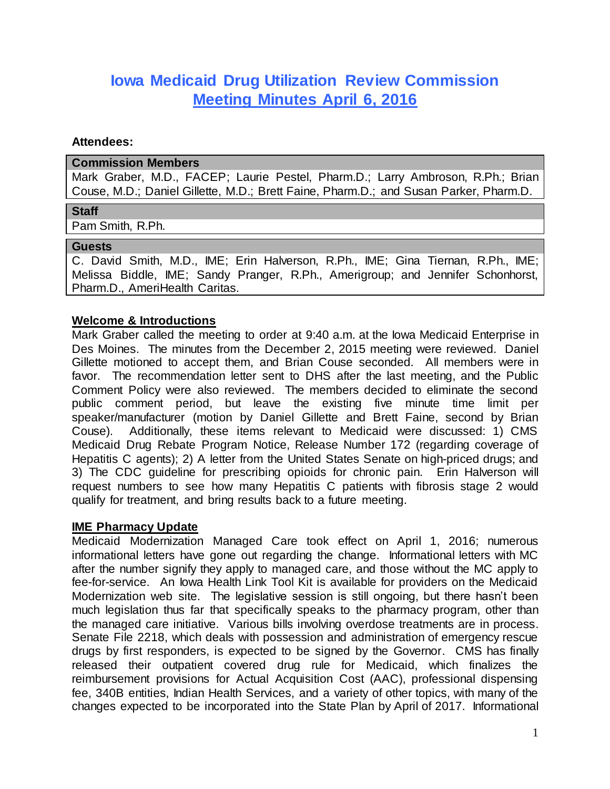# **Iowa Medicaid Drug Utilization Review Commission Meeting Minutes April 6, 2016**

#### **Attendees:**

#### **Commission Members**

Mark Graber, M.D., FACEP; Laurie Pestel, Pharm.D.; Larry Ambroson, R.Ph.; Brian Couse, M.D.; Daniel Gillette, M.D.; Brett Faine, Pharm.D.; and Susan Parker, Pharm.D.

#### **Staff**

Pam Smith, R.Ph.

#### **Guests**

C. David Smith, M.D., IME; Erin Halverson, R.Ph., IME; Gina Tiernan, R.Ph., IME; Melissa Biddle, IME; Sandy Pranger, R.Ph., Amerigroup; and Jennifer Schonhorst, Pharm.D., AmeriHealth Caritas.

#### **Welcome & Introductions**

Mark Graber called the meeting to order at 9:40 a.m. at the Iowa Medicaid Enterprise in Des Moines. The minutes from the December 2, 2015 meeting were reviewed. Daniel Gillette motioned to accept them, and Brian Couse seconded. All members were in favor. The recommendation letter sent to DHS after the last meeting, and the Public Comment Policy were also reviewed. The members decided to eliminate the second public comment period, but leave the existing five minute time limit per speaker/manufacturer (motion by Daniel Gillette and Brett Faine, second by Brian Couse). Additionally, these items relevant to Medicaid were discussed: 1) CMS Medicaid Drug Rebate Program Notice, Release Number 172 (regarding coverage of Hepatitis C agents); 2) A letter from the United States Senate on high-priced drugs; and 3) The CDC guideline for prescribing opioids for chronic pain. Erin Halverson will request numbers to see how many Hepatitis C patients with fibrosis stage 2 would qualify for treatment, and bring results back to a future meeting.

#### **IME Pharmacy Update**

Medicaid Modernization Managed Care took effect on April 1, 2016; numerous informational letters have gone out regarding the change. Informational letters with MC after the number signify they apply to managed care, and those without the MC apply to fee-for-service. An Iowa Health Link Tool Kit is available for providers on the Medicaid Modernization web site. The legislative session is still ongoing, but there hasn't been much legislation thus far that specifically speaks to the pharmacy program, other than the managed care initiative. Various bills involving overdose treatments are in process. Senate File 2218, which deals with possession and administration of emergency rescue drugs by first responders, is expected to be signed by the Governor. CMS has finally released their outpatient covered drug rule for Medicaid, which finalizes the reimbursement provisions for Actual Acquisition Cost (AAC), professional dispensing fee, 340B entities, Indian Health Services, and a variety of other topics, with many of the changes expected to be incorporated into the State Plan by April of 2017. Informational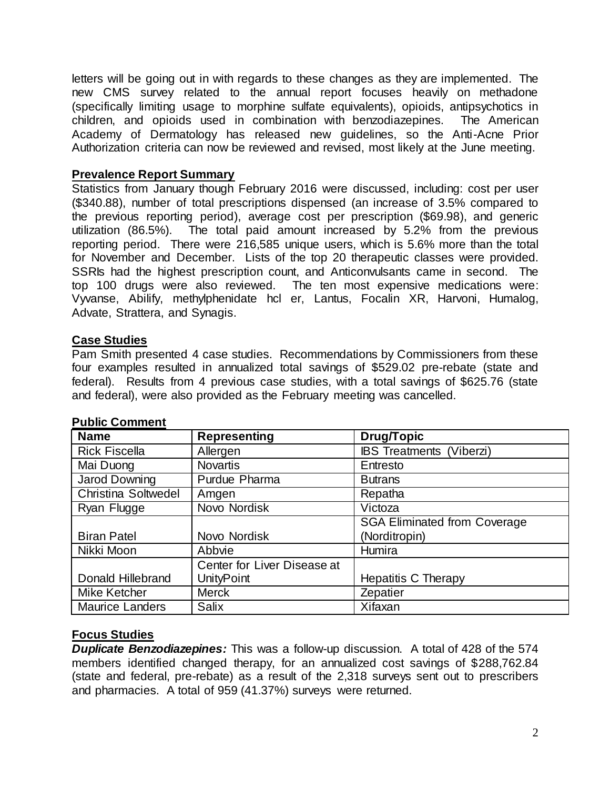letters will be going out in with regards to these changes as they are implemented. The new CMS survey related to the annual report focuses heavily on methadone (specifically limiting usage to morphine sulfate equivalents), opioids, antipsychotics in children, and opioids used in combination with benzodiazepines. The American Academy of Dermatology has released new guidelines, so the Anti-Acne Prior Authorization criteria can now be reviewed and revised, most likely at the June meeting.

### **Prevalence Report Summary**

Statistics from January though February 2016 were discussed, including: cost per user (\$340.88), number of total prescriptions dispensed (an increase of 3.5% compared to the previous reporting period), average cost per prescription (\$69.98), and generic utilization (86.5%). The total paid amount increased by 5.2% from the previous reporting period. There were 216,585 unique users, which is 5.6% more than the total for November and December. Lists of the top 20 therapeutic classes were provided. SSRIs had the highest prescription count, and Anticonvulsants came in second. The top 100 drugs were also reviewed. The ten most expensive medications were: Vyvanse, Abilify, methylphenidate hcl er, Lantus, Focalin XR, Harvoni, Humalog, Advate, Strattera, and Synagis.

# **Case Studies**

Pam Smith presented 4 case studies. Recommendations by Commissioners from these four examples resulted in annualized total savings of \$529.02 pre-rebate (state and federal). Results from 4 previous case studies, with a total savings of \$625.76 (state and federal), were also provided as the February meeting was cancelled.

| <b>Name</b>            | <b>Representing</b>         | <b>Drug/Topic</b>                   |  |
|------------------------|-----------------------------|-------------------------------------|--|
| <b>Rick Fiscella</b>   | Allergen                    | <b>IBS Treatments (Viberzi)</b>     |  |
| Mai Duong              | <b>Novartis</b>             | Entresto                            |  |
| <b>Jarod Downing</b>   | Purdue Pharma               | <b>Butrans</b>                      |  |
| Christina Soltwedel    | Amgen                       | Repatha                             |  |
| Ryan Flugge            | Novo Nordisk                | Victoza                             |  |
|                        |                             | <b>SGA Eliminated from Coverage</b> |  |
| <b>Biran Patel</b>     | Novo Nordisk                | (Norditropin)                       |  |
| Nikki Moon             | Abbvie                      | Humira                              |  |
|                        | Center for Liver Disease at |                                     |  |
| Donald Hillebrand      | <b>UnityPoint</b>           | <b>Hepatitis C Therapy</b>          |  |
| Mike Ketcher           | <b>Merck</b>                | Zepatier                            |  |
| <b>Maurice Landers</b> | Salix                       | Xifaxan                             |  |

#### **Public Comment**

# **Focus Studies**

*Duplicate Benzodiazepines:* This was a follow-up discussion. A total of 428 of the 574 members identified changed therapy, for an annualized cost savings of \$288,762.84 (state and federal, pre-rebate) as a result of the 2,318 surveys sent out to prescribers and pharmacies. A total of 959 (41.37%) surveys were returned.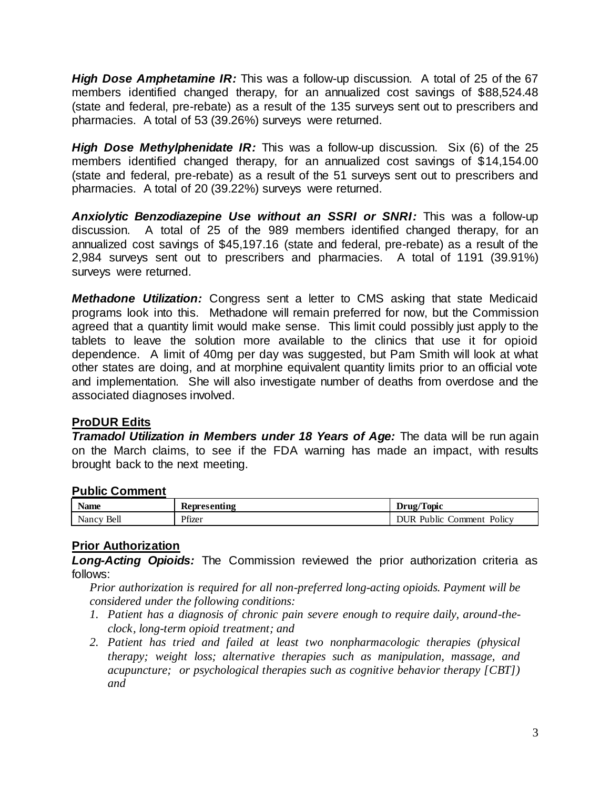*High Dose Amphetamine IR:* This was a follow-up discussion. A total of 25 of the 67 members identified changed therapy, for an annualized cost savings of \$88,524.48 (state and federal, pre-rebate) as a result of the 135 surveys sent out to prescribers and pharmacies. A total of 53 (39.26%) surveys were returned.

*High Dose Methylphenidate IR:* This was a follow-up discussion. Six (6) of the 25 members identified changed therapy, for an annualized cost savings of \$14,154.00 (state and federal, pre-rebate) as a result of the 51 surveys sent out to prescribers and pharmacies. A total of 20 (39.22%) surveys were returned.

*Anxiolytic Benzodiazepine Use without an SSRI or SNRI:* This was a follow-up discussion. A total of 25 of the 989 members identified changed therapy, for an annualized cost savings of \$45,197.16 (state and federal, pre-rebate) as a result of the 2,984 surveys sent out to prescribers and pharmacies. A total of 1191 (39.91%) surveys were returned.

*Methadone Utilization:* Congress sent a letter to CMS asking that state Medicaid programs look into this. Methadone will remain preferred for now, but the Commission agreed that a quantity limit would make sense. This limit could possibly just apply to the tablets to leave the solution more available to the clinics that use it for opioid dependence. A limit of 40mg per day was suggested, but Pam Smith will look at what other states are doing, and at morphine equivalent quantity limits prior to an official vote and implementation. She will also investigate number of deaths from overdose and the associated diagnoses involved.

# **ProDUR Edits**

*Tramadol Utilization in Members under 18 Years of Age:* The data will be run again on the March claims, to see if the FDA warning has made an impact, with results brought back to the next meeting.

# **Public Comment**

| <b>BT</b><br>Name | Representing | Topic<br>Drug/                        |
|-------------------|--------------|---------------------------------------|
| Bell<br>Nancy     | Pfizer       | Public<br>Policy<br>ור TIR<br>.omment |

# **Prior Authorization**

*Long-Acting Opioids:* The Commission reviewed the prior authorization criteria as follows:

*Prior authorization is required for all non-preferred long-acting opioids. Payment will be considered under the following conditions:* 

- *1. Patient has a diagnosis of chronic pain severe enough to require daily, around-theclock, long-term opioid treatment; and*
- *2. Patient has tried and failed at least two nonpharmacologic therapies (physical therapy; weight loss; alternative therapies such as manipulation, massage, and acupuncture; or psychological therapies such as cognitive behavior therapy [CBT]) and*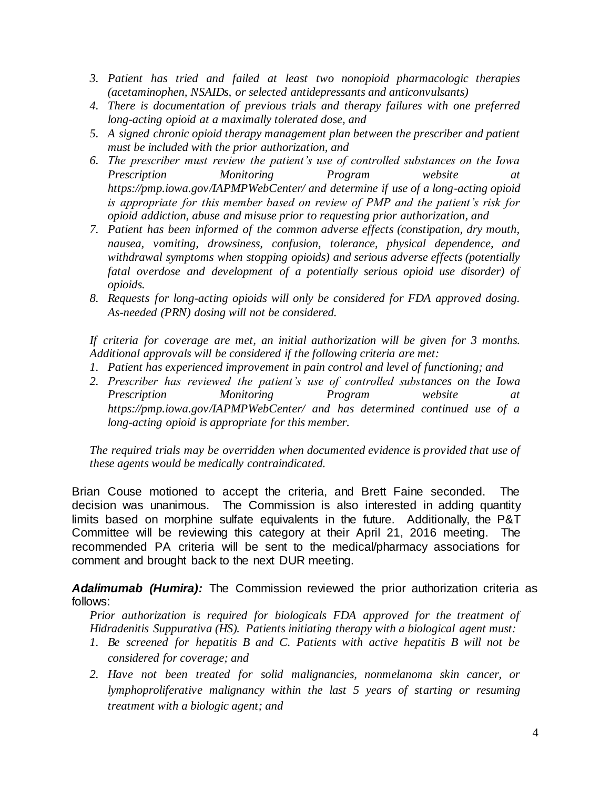- *3. Patient has tried and failed at least two nonopioid pharmacologic therapies (acetaminophen, NSAIDs, or selected antidepressants and anticonvulsants)*
- *4. There is documentation of previous trials and therapy failures with one preferred long-acting opioid at a maximally tolerated dose, and*
- *5. A signed chronic opioid therapy management plan between the prescriber and patient must be included with the prior authorization, and*
- *6. The prescriber must review the patient's use of controlled substances on the Iowa Prescription Monitoring Program website at https://pmp.iowa.gov/IAPMPWebCenter/ and determine if use of a long-acting opioid is appropriate for this member based on review of PMP and the patient's risk for opioid addiction, abuse and misuse prior to requesting prior authorization, and*
- *7. Patient has been informed of the common adverse effects (constipation, dry mouth, nausea, vomiting, drowsiness, confusion, tolerance, physical dependence, and withdrawal symptoms when stopping opioids) and serious adverse effects (potentially fatal overdose and development of a potentially serious opioid use disorder) of opioids.*
- *8. Requests for long-acting opioids will only be considered for FDA approved dosing. As-needed (PRN) dosing will not be considered.*

*If criteria for coverage are met, an initial authorization will be given for 3 months. Additional approvals will be considered if the following criteria are met:*

- *1. Patient has experienced improvement in pain control and level of functioning; and*
- *2. Prescriber has reviewed the patient's use of controlled substances on the Iowa Prescription Monitoring Program website at https://pmp.iowa.gov/IAPMPWebCenter/ and has determined continued use of a long-acting opioid is appropriate for this member.*

*The required trials may be overridden when documented evidence is provided that use of these agents would be medically contraindicated.* 

Brian Couse motioned to accept the criteria, and Brett Faine seconded. The decision was unanimous. The Commission is also interested in adding quantity limits based on morphine sulfate equivalents in the future. Additionally, the P&T Committee will be reviewing this category at their April 21, 2016 meeting. The recommended PA criteria will be sent to the medical/pharmacy associations for comment and brought back to the next DUR meeting.

*Adalimumab (Humira):* The Commission reviewed the prior authorization criteria as follows:

*Prior authorization is required for biologicals FDA approved for the treatment of Hidradenitis Suppurativa (HS). Patients initiating therapy with a biological agent must:*

- *1. Be screened for hepatitis B and C. Patients with active hepatitis B will not be considered for coverage; and*
- *2. Have not been treated for solid malignancies, nonmelanoma skin cancer, or lymphoproliferative malignancy within the last 5 years of starting or resuming treatment with a biologic agent; and*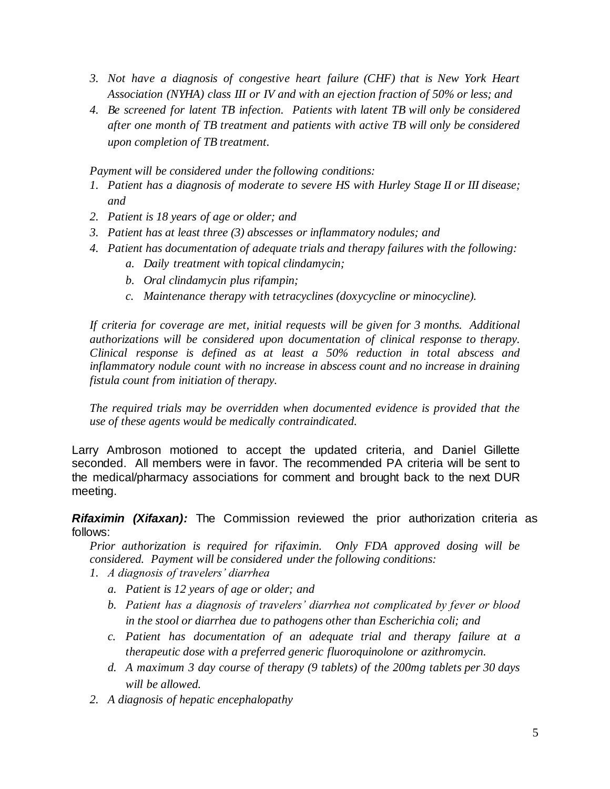- 3. *Not have a diagnosis of congestive heart failure (CHF) that is New York Heart Association (NYHA) class III or IV and with an ejection fraction of 50% or less; and*
- *4. Be screened for latent TB infection. Patients with latent TB will only be considered after one month of TB treatment and patients with active TB will only be considered upon completion of TB treatment.*

*Payment will be considered under the following conditions:*

- *1. Patient has a diagnosis of moderate to severe HS with Hurley Stage II or III disease; and*
- *2. Patient is 18 years of age or older; and*
- *3. Patient has at least three (3) abscesses or inflammatory nodules; and*
- *4. Patient has documentation of adequate trials and therapy failures with the following:*
	- *a. Daily treatment with topical clindamycin;*
	- *b. Oral clindamycin plus rifampin;*
	- *c. Maintenance therapy with tetracyclines (doxycycline or minocycline).*

*If criteria for coverage are met, initial requests will be given for 3 months. Additional authorizations will be considered upon documentation of clinical response to therapy. Clinical response is defined as at least a 50% reduction in total abscess and inflammatory nodule count with no increase in abscess count and no increase in draining fistula count from initiation of therapy.*

*The required trials may be overridden when documented evidence is provided that the use of these agents would be medically contraindicated.*

Larry Ambroson motioned to accept the updated criteria, and Daniel Gillette seconded. All members were in favor. The recommended PA criteria will be sent to the medical/pharmacy associations for comment and brought back to the next DUR meeting.

*Rifaximin (Xifaxan):* The Commission reviewed the prior authorization criteria as follows:

*Prior authorization is required for rifaximin. Only FDA approved dosing will be considered. Payment will be considered under the following conditions:*

- *1. A diagnosis of travelers' diarrhea*
	- *a. Patient is 12 years of age or older; and*
	- *b. Patient has a diagnosis of travelers' diarrhea not complicated by fever or blood in the stool or diarrhea due to pathogens other than Escherichia coli; and*
	- *c. Patient has documentation of an adequate trial and therapy failure at a therapeutic dose with a preferred generic fluoroquinolone or azithromycin.*
	- *d. A maximum 3 day course of therapy (9 tablets) of the 200mg tablets per 30 days will be allowed.*
- *2. A diagnosis of hepatic encephalopathy*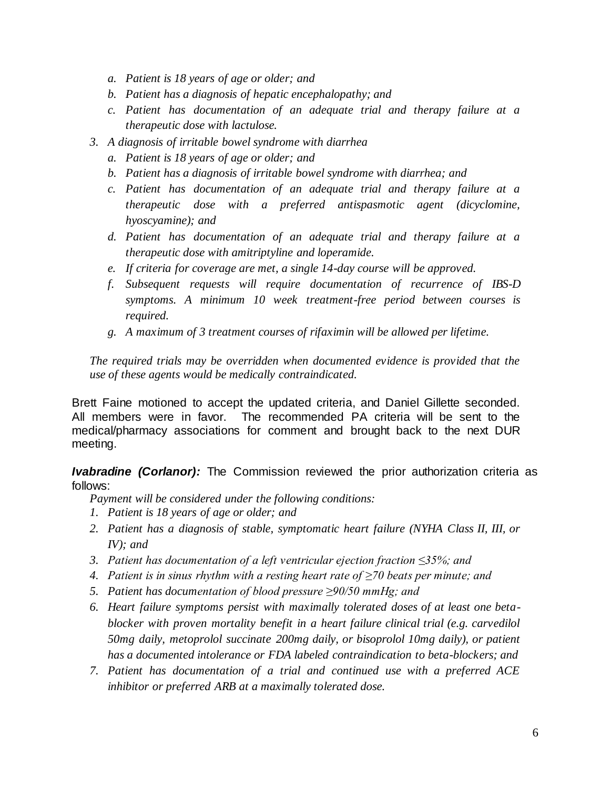- *a. Patient is 18 years of age or older; and*
- *b. Patient has a diagnosis of hepatic encephalopathy; and*
- *c. Patient has documentation of an adequate trial and therapy failure at a therapeutic dose with lactulose.*
- *3. A diagnosis of irritable bowel syndrome with diarrhea*
	- *a. Patient is 18 years of age or older; and*
	- *b. Patient has a diagnosis of irritable bowel syndrome with diarrhea; and*
	- *c. Patient has documentation of an adequate trial and therapy failure at a therapeutic dose with a preferred antispasmotic agent (dicyclomine, hyoscyamine); and*
	- *d. Patient has documentation of an adequate trial and therapy failure at a therapeutic dose with amitriptyline and loperamide.*
	- *e. If criteria for coverage are met, a single 14-day course will be approved.*
	- *f. Subsequent requests will require documentation of recurrence of IBS-D symptoms. A minimum 10 week treatment-free period between courses is required.*
	- *g. A maximum of 3 treatment courses of rifaximin will be allowed per lifetime.*

Brett Faine motioned to accept the updated criteria, and Daniel Gillette seconded. All members were in favor. The recommended PA criteria will be sent to the medical/pharmacy associations for comment and brought back to the next DUR meeting.

*Ivabradine (Corlanor):* The Commission reviewed the prior authorization criteria as follows:

*Payment will be considered under the following conditions:*

- *1. Patient is 18 years of age or older; and*
- *2. Patient has a diagnosis of stable, symptomatic heart failure (NYHA Class II, III, or IV); and*
- *3. Patient has documentation of a left ventricular ejection fraction ≤35%; and*
- *4. Patient is in sinus rhythm with a resting heart rate of ≥70 beats per minute; and*
- *5. Patient has documentation of blood pressure ≥90/50 mmHg; and*
- *6. Heart failure symptoms persist with maximally tolerated doses of at least one betablocker with proven mortality benefit in a heart failure clinical trial (e.g. carvedilol 50mg daily, metoprolol succinate 200mg daily, or bisoprolol 10mg daily), or patient has a documented intolerance or FDA labeled contraindication to beta-blockers; and*
- *7. Patient has documentation of a trial and continued use with a preferred ACE inhibitor or preferred ARB at a maximally tolerated dose.*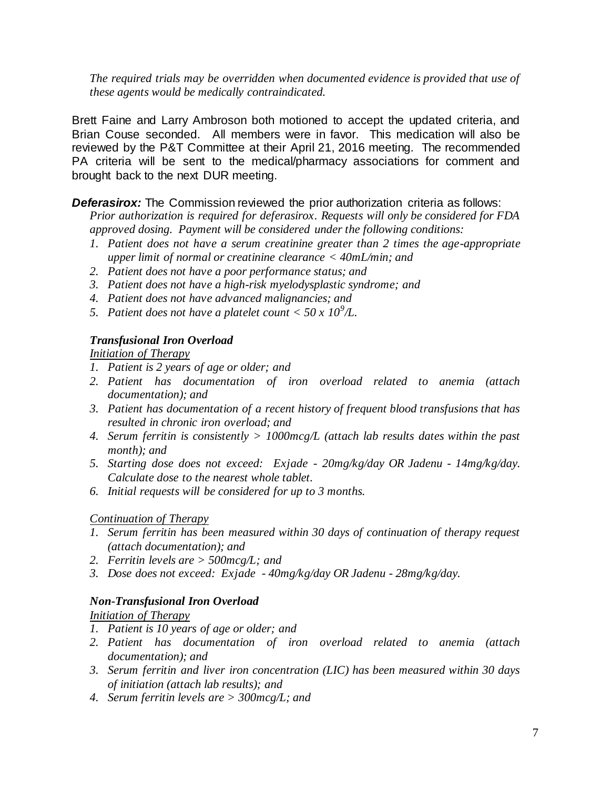Brett Faine and Larry Ambroson both motioned to accept the updated criteria, and Brian Couse seconded. All members were in favor. This medication will also be reviewed by the P&T Committee at their April 21, 2016 meeting. The recommended PA criteria will be sent to the medical/pharmacy associations for comment and brought back to the next DUR meeting.

**Deferasirox:** The Commission reviewed the prior authorization criteria as follows:

*Prior authorization is required for deferasirox. Requests will only be considered for FDA approved dosing. Payment will be considered under the following conditions:* 

- *1. Patient does not have a serum creatinine greater than 2 times the age-appropriate upper limit of normal or creatinine clearance < 40mL/min; and*
- *2. Patient does not have a poor performance status; and*
- *3. Patient does not have a high-risk myelodysplastic syndrome; and*
- *4. Patient does not have advanced malignancies; and*
- 5. Patient does not have a platelet count  $<$  50 x 10<sup>9</sup>/L.

#### *Transfusional Iron Overload*

*Initiation of Therapy* 

- *1. Patient is 2 years of age or older; and*
- *2. Patient has documentation of iron overload related to anemia (attach documentation); and*
- *3. Patient has documentation of a recent history of frequent blood transfusions that has resulted in chronic iron overload; and*
- *4. Serum ferritin is consistently > 1000mcg/L (attach lab results dates within the past month); and*
- *5. Starting dose does not exceed: Exjade - 20mg/kg/day OR Jadenu - 14mg/kg/day. Calculate dose to the nearest whole tablet.*
- *6. Initial requests will be considered for up to 3 months.*

#### *Continuation of Therapy*

- *1. Serum ferritin has been measured within 30 days of continuation of therapy request (attach documentation); and*
- *2. Ferritin levels are > 500mcg/L; and*
- *3. Dose does not exceed: Exjade - 40mg/kg/day OR Jadenu - 28mg/kg/day.*

#### *Non-Transfusional Iron Overload*

*Initiation of Therapy* 

- *1. Patient is 10 years of age or older; and*
- *2. Patient has documentation of iron overload related to anemia (attach documentation); and*
- *3. Serum ferritin and liver iron concentration (LIC) has been measured within 30 days of initiation (attach lab results); and*
- *4. Serum ferritin levels are > 300mcg/L; and*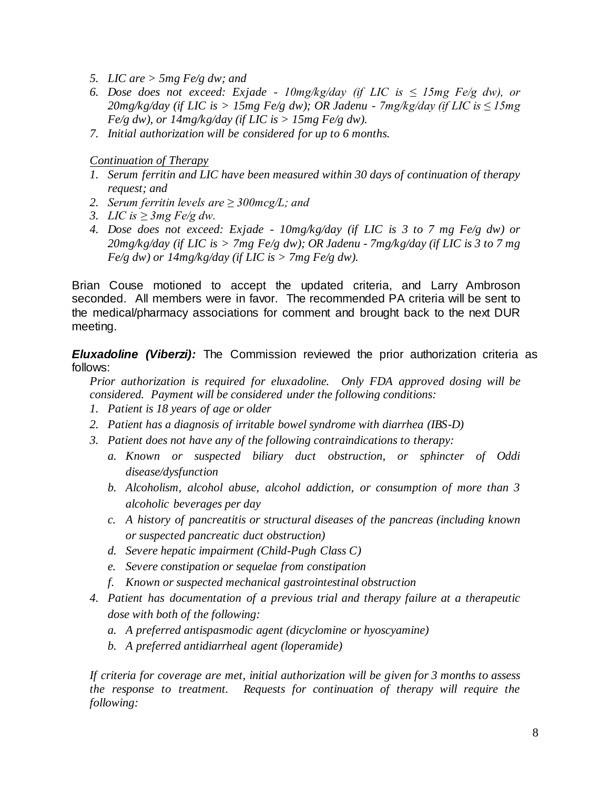- *5. LIC are > 5mg Fe/g dw; and*
- *6. Dose does not exceed: Exjade - 10mg/kg/day (if LIC is ≤ 15mg Fe/g dw), or 20mg/kg/day (if LIC is > 15mg Fe/g dw); OR Jadenu - 7mg/kg/day (if LIC is ≤ 15mg Fe/g dw), or 14mg/kg/day (if LIC is > 15mg Fe/g dw).*
- *7. Initial authorization will be considered for up to 6 months.*

*Continuation of Therapy* 

- *1. Serum ferritin and LIC have been measured within 30 days of continuation of therapy request; and*
- *2. Serum ferritin levels are ≥ 300mcg/L; and*
- *3. LIC is* ≥ 3*mg Fe/g dw.*
- *4. Dose does not exceed: Exjade - 10mg/kg/day (if LIC is 3 to 7 mg Fe/g dw) or 20mg/kg/day (if LIC is > 7mg Fe/g dw); OR Jadenu - 7mg/kg/day (if LIC is 3 to 7 mg Fe/g dw) or 14mg/kg/day (if LIC is > 7mg Fe/g dw).*

Brian Couse motioned to accept the updated criteria, and Larry Ambroson seconded. All members were in favor. The recommended PA criteria will be sent to the medical/pharmacy associations for comment and brought back to the next DUR meeting.

*Eluxadoline (Viberzi):* The Commission reviewed the prior authorization criteria as follows:

*Prior authorization is required for eluxadoline. Only FDA approved dosing will be considered. Payment will be considered under the following conditions:*

- *1. Patient is 18 years of age or older*
- *2. Patient has a diagnosis of irritable bowel syndrome with diarrhea (IBS-D)*
- *3. Patient does not have any of the following contraindications to therapy:*
	- *a. Known or suspected biliary duct obstruction, or sphincter of Oddi disease/dysfunction*
	- *b. Alcoholism, alcohol abuse, alcohol addiction, or consumption of more than 3 alcoholic beverages per day*
	- *c. A history of pancreatitis or structural diseases of the pancreas (including known or suspected pancreatic duct obstruction)*
	- *d. Severe hepatic impairment (Child-Pugh Class C)*
	- *e. Severe constipation or sequelae from constipation*
	- *f. Known or suspected mechanical gastrointestinal obstruction*
- *4. Patient has documentation of a previous trial and therapy failure at a therapeutic dose with both of the following:*
	- *a. A preferred antispasmodic agent (dicyclomine or hyoscyamine)*
	- *b. A preferred antidiarrheal agent (loperamide)*

*If criteria for coverage are met, initial authorization will be given for 3 months to assess the response to treatment. Requests for continuation of therapy will require the following:*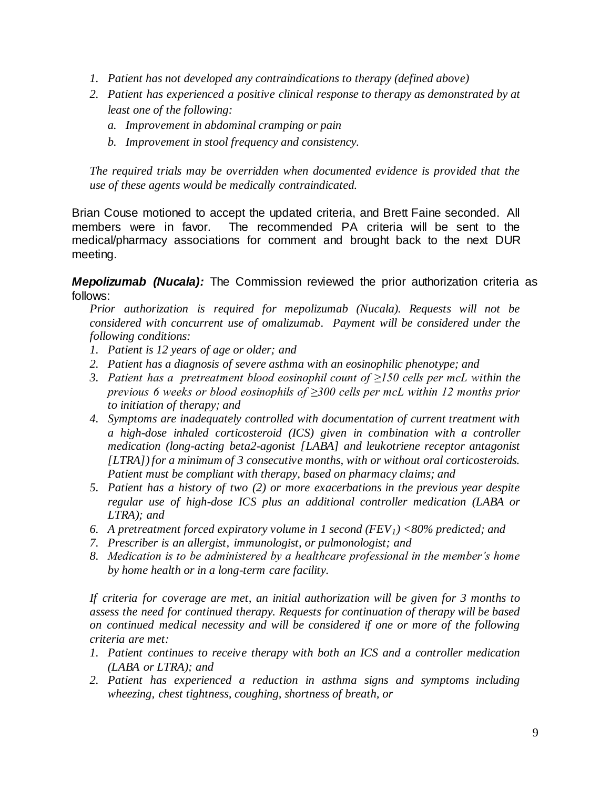- *1. Patient has not developed any contraindications to therapy (defined above)*
- *2. Patient has experienced a positive clinical response to therapy as demonstrated by at least one of the following:*
	- *a. Improvement in abdominal cramping or pain*
	- *b. Improvement in stool frequency and consistency.*

Brian Couse motioned to accept the updated criteria, and Brett Faine seconded. All members were in favor. The recommended PA criteria will be sent to the medical/pharmacy associations for comment and brought back to the next DUR meeting.

*Mepolizumab (Nucala):* The Commission reviewed the prior authorization criteria as follows:

*Prior authorization is required for mepolizumab (Nucala). Requests will not be considered with concurrent use of omalizumab. Payment will be considered under the following conditions:* 

- *1. Patient is 12 years of age or older; and*
- *2. Patient has a diagnosis of severe asthma with an eosinophilic phenotype; and*
- *3. Patient has a pretreatment blood eosinophil count of ≥150 cells per mcL within the previous 6 weeks or blood eosinophils of ≥300 cells per mcL within 12 months prior to initiation of therapy; and*
- *4. Symptoms are inadequately controlled with documentation of current treatment with a high-dose inhaled corticosteroid (ICS) given in combination with a controller medication (long-acting beta2-agonist [LABA] and leukotriene receptor antagonist [LTRA]) for a minimum of 3 consecutive months, with or without oral corticosteroids. Patient must be compliant with therapy, based on pharmacy claims; and*
- *5. Patient has a history of two (2) or more exacerbations in the previous year despite regular use of high-dose ICS plus an additional controller medication (LABA or LTRA); and*
- *6. A pretreatment forced expiratory volume in 1 second (FEV1) <80% predicted; and*
- *7. Prescriber is an allergist, immunologist, or pulmonologist; and*
- *8. Medication is to be administered by a healthcare professional in the member's home by home health or in a long-term care facility.*

*If criteria for coverage are met, an initial authorization will be given for 3 months to assess the need for continued therapy. Requests for continuation of therapy will be based on continued medical necessity and will be considered if one or more of the following criteria are met:*

- *1. Patient continues to receive therapy with both an ICS and a controller medication (LABA or LTRA); and*
- *2. Patient has experienced a reduction in asthma signs and symptoms including wheezing, chest tightness, coughing, shortness of breath, or*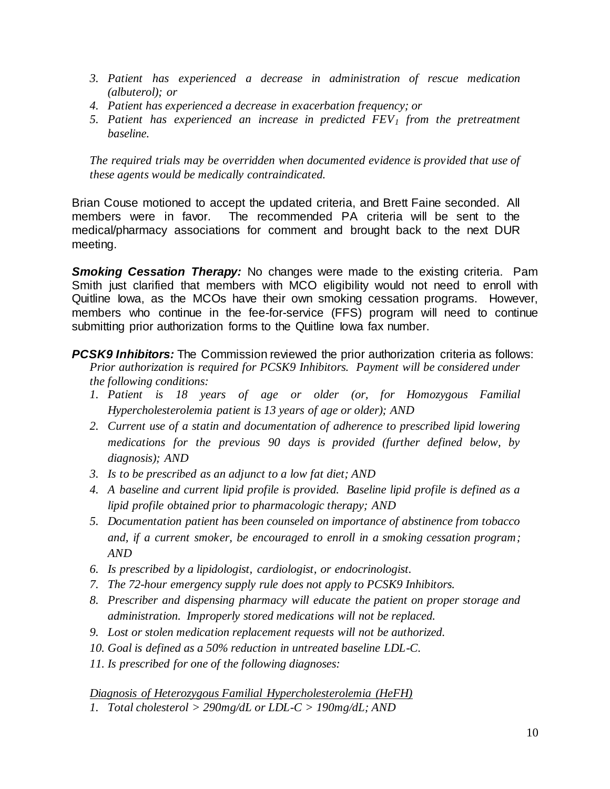- *3. Patient has experienced a decrease in administration of rescue medication (albuterol); or*
- *4. Patient has experienced a decrease in exacerbation frequency; or*
- *5. Patient has experienced an increase in predicted FEV<sup>1</sup> from the pretreatment baseline.*

Brian Couse motioned to accept the updated criteria, and Brett Faine seconded. All members were in favor. The recommended PA criteria will be sent to the medical/pharmacy associations for comment and brought back to the next DUR meeting.

*Smoking Cessation Therapy:* No changes were made to the existing criteria. Pam Smith just clarified that members with MCO eligibility would not need to enroll with Quitline Iowa, as the MCOs have their own smoking cessation programs. However, members who continue in the fee-for-service (FFS) program will need to continue submitting prior authorization forms to the Quitline lowa fax number.

*PCSK9 Inhibitors:* The Commission reviewed the prior authorization criteria as follows: *Prior authorization is required for PCSK9 Inhibitors. Payment will be considered under the following conditions:*

- *1. Patient is 18 years of age or older (or, for Homozygous Familial Hypercholesterolemia patient is 13 years of age or older); AND*
- *2. Current use of a statin and documentation of adherence to prescribed lipid lowering medications for the previous 90 days is provided (further defined below, by diagnosis); AND*
- *3. Is to be prescribed as an adjunct to a low fat diet; AND*
- *4. A baseline and current lipid profile is provided. Baseline lipid profile is defined as a lipid profile obtained prior to pharmacologic therapy; AND*
- *5. Documentation patient has been counseled on importance of abstinence from tobacco and, if a current smoker, be encouraged to enroll in a smoking cessation program; AND*
- *6. Is prescribed by a lipidologist, cardiologist, or endocrinologist.*
- *7. The 72-hour emergency supply rule does not apply to PCSK9 Inhibitors.*
- *8. Prescriber and dispensing pharmacy will educate the patient on proper storage and administration. Improperly stored medications will not be replaced.*
- *9. Lost or stolen medication replacement requests will not be authorized.*
- *10. Goal is defined as a 50% reduction in untreated baseline LDL-C.*
- *11. Is prescribed for one of the following diagnoses:*

*Diagnosis of Heterozygous Familial Hypercholesterolemia (HeFH) 1. Total cholesterol > 290mg/dL or LDL-C > 190mg/dL; AND*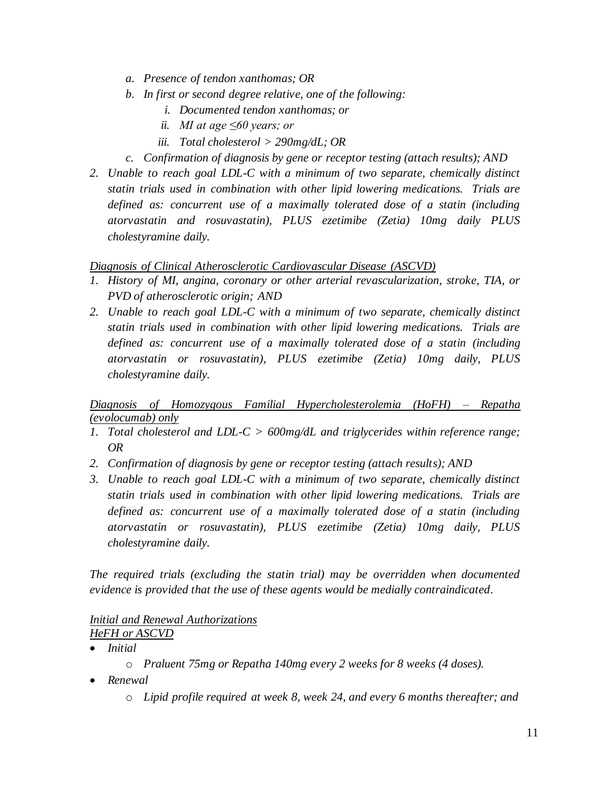- *a. Presence of tendon xanthomas; OR*
- *b. In first or second degree relative, one of the following:*
	- *i. Documented tendon xanthomas; or*
	- *ii. MI at age ≤60 years; or*
	- *iii. Total cholesterol > 290mg/dL; OR*
- *c. Confirmation of diagnosis by gene or receptor testing (attach results); AND*
- 2. *Unable to reach goal LDL-C with a minimum of two separate, chemically distinct statin trials used in combination with other lipid lowering medications. Trials are defined as: concurrent use of a maximally tolerated dose of a statin (including atorvastatin and rosuvastatin), PLUS ezetimibe (Zetia) 10mg daily PLUS cholestyramine daily.*

#### *Diagnosis of Clinical Atherosclerotic Cardiovascular Disease (ASCVD)*

- *1. History of MI, angina, coronary or other arterial revascularization, stroke, TIA, or PVD of atherosclerotic origin; AND*
- *2. Unable to reach goal LDL-C with a minimum of two separate, chemically distinct statin trials used in combination with other lipid lowering medications. Trials are defined as: concurrent use of a maximally tolerated dose of a statin (including atorvastatin or rosuvastatin), PLUS ezetimibe (Zetia) 10mg daily, PLUS cholestyramine daily.*

*Diagnosis of Homozygous Familial Hypercholesterolemia (HoFH) – Repatha (evolocumab) only*

- *1. Total cholesterol and LDL-C > 600mg/dL and triglycerides within reference range; OR*
- *2. Confirmation of diagnosis by gene or receptor testing (attach results); AND*
- *3. Unable to reach goal LDL-C with a minimum of two separate, chemically distinct statin trials used in combination with other lipid lowering medications. Trials are defined as: concurrent use of a maximally tolerated dose of a statin (including atorvastatin or rosuvastatin), PLUS ezetimibe (Zetia) 10mg daily, PLUS cholestyramine daily.*

*The required trials (excluding the statin trial) may be overridden when documented evidence is provided that the use of these agents would be medially contraindicated.*

#### *Initial and Renewal Authorizations HeFH or ASCVD*

- *Initial* 
	- o *Praluent 75mg or Repatha 140mg every 2 weeks for 8 weeks (4 doses).*
- *Renewal* 
	- o *Lipid profile required at week 8, week 24, and every 6 months thereafter; and*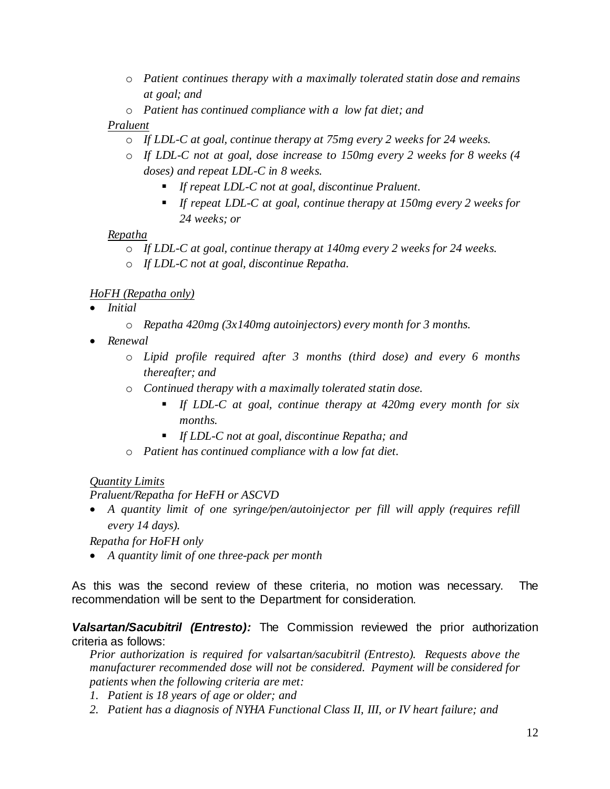- o *Patient continues therapy with a maximally tolerated statin dose and remains at goal; and*
- o *Patient has continued compliance with a low fat diet; and*

# *Praluent*

- o *If LDL-C at goal, continue therapy at 75mg every 2 weeks for 24 weeks.*
- o *If LDL-C not at goal, dose increase to 150mg every 2 weeks for 8 weeks (4 doses) and repeat LDL-C in 8 weeks.*
	- *If repeat LDL-C not at goal, discontinue Praluent.*
	- *If repeat LDL-C at goal, continue therapy at 150mg every 2 weeks for 24 weeks; or*

# *Repatha*

- o *If LDL-C at goal, continue therapy at 140mg every 2 weeks for 24 weeks.*
- o *If LDL-C not at goal, discontinue Repatha.*

# *HoFH (Repatha only)*

- *Initial* 
	- o *Repatha 420mg (3x140mg autoinjectors) every month for 3 months.*
- *Renewal* 
	- o *Lipid profile required after 3 months (third dose) and every 6 months thereafter; and*
	- o *Continued therapy with a maximally tolerated statin dose.*
		- *If LDL-C at goal, continue therapy at 420mg every month for six months.*
		- *If LDL-C not at goal, discontinue Repatha; and*
	- o *Patient has continued compliance with a low fat diet.*

# *Quantity Limits*

# *Praluent/Repatha for HeFH or ASCVD*

 *A quantity limit of one syringe/pen/autoinjector per fill will apply (requires refill every 14 days).*

*Repatha for HoFH only*

*A quantity limit of one three-pack per month*

As this was the second review of these criteria, no motion was necessary. The recommendation will be sent to the Department for consideration.

# *Valsartan/Sacubitril (Entresto):* The Commission reviewed the prior authorization criteria as follows:

*Prior authorization is required for valsartan/sacubitril (Entresto). Requests above the manufacturer recommended dose will not be considered. Payment will be considered for patients when the following criteria are met:*

- *1. Patient is 18 years of age or older; and*
- *2. Patient has a diagnosis of NYHA Functional Class II, III, or IV heart failure; and*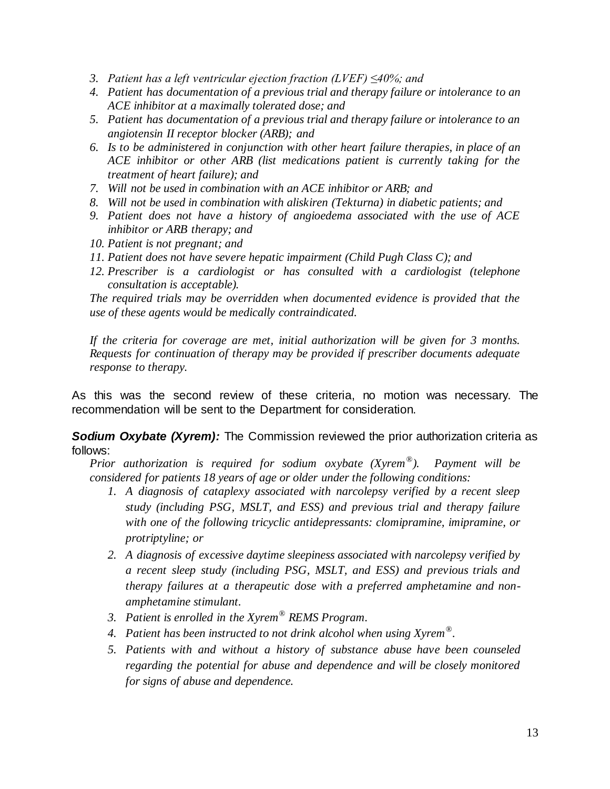- *3. Patient has a left ventricular ejection fraction (LVEF) ≤40%; and*
- *4. Patient has documentation of a previous trial and therapy failure or intolerance to an ACE inhibitor at a maximally tolerated dose; and*
- *5. Patient has documentation of a previous trial and therapy failure or intolerance to an angiotensin II receptor blocker (ARB); and*
- *6. Is to be administered in conjunction with other heart failure therapies, in place of an ACE inhibitor or other ARB (list medications patient is currently taking for the treatment of heart failure); and*
- *7. Will not be used in combination with an ACE inhibitor or ARB; and*
- *8. Will not be used in combination with aliskiren (Tekturna) in diabetic patients; and*
- *9. Patient does not have a history of angioedema associated with the use of ACE inhibitor or ARB therapy; and*
- *10. Patient is not pregnant; and*
- *11. Patient does not have severe hepatic impairment (Child Pugh Class C); and*
- *12. Prescriber is a cardiologist or has consulted with a cardiologist (telephone consultation is acceptable).*

*If the criteria for coverage are met, initial authorization will be given for 3 months. Requests for continuation of therapy may be provided if prescriber documents adequate response to therapy.*

As this was the second review of these criteria, no motion was necessary. The recommendation will be sent to the Department for consideration.

*Sodium Oxybate (Xyrem):* The Commission reviewed the prior authorization criteria as follows:

*Prior authorization is required for sodium oxybate (Xyrem® ). Payment will be considered for patients 18 years of age or older under the following conditions:*

- *1. A diagnosis of cataplexy associated with narcolepsy verified by a recent sleep study (including PSG, MSLT, and ESS) and previous trial and therapy failure with one of the following tricyclic antidepressants: clomipramine, imipramine, or protriptyline; or*
- *2. A diagnosis of excessive daytime sleepiness associated with narcolepsy verified by a recent sleep study (including PSG, MSLT, and ESS) and previous trials and therapy failures at a therapeutic dose with a preferred amphetamine and nonamphetamine stimulant.*
- *3. Patient is enrolled in the Xyrem® REMS Program.*
- *4. Patient has been instructed to not drink alcohol when using Xyrem® .*
- *5. Patients with and without a history of substance abuse have been counseled regarding the potential for abuse and dependence and will be closely monitored for signs of abuse and dependence.*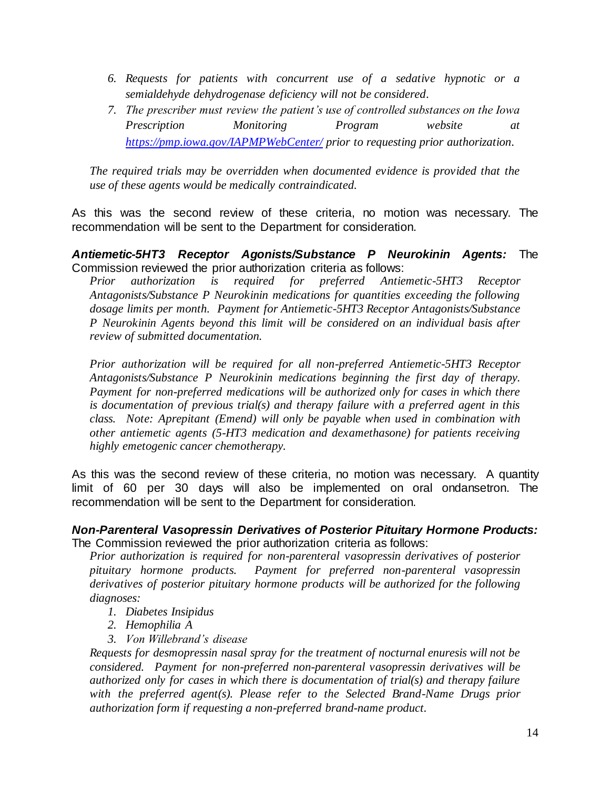- *6. Requests for patients with concurrent use of a sedative hypnotic or a semialdehyde dehydrogenase deficiency will not be considered.*
- *7. The prescriber must review the patient's use of controlled substances on the Iowa Prescription Monitoring Program website at <https://pmp.iowa.gov/IAPMPWebCenter/> prior to requesting prior authorization.*

As this was the second review of these criteria, no motion was necessary. The recommendation will be sent to the Department for consideration.

#### *Antiemetic-5HT3 Receptor Agonists/Substance P Neurokinin Agents:* The Commission reviewed the prior authorization criteria as follows:

*Prior authorization is required for preferred Antiemetic-5HT3 Receptor Antagonists/Substance P Neurokinin medications for quantities exceeding the following dosage limits per month. Payment for Antiemetic-5HT3 Receptor Antagonists/Substance P Neurokinin Agents beyond this limit will be considered on an individual basis after review of submitted documentation.*

*Prior authorization will be required for all non-preferred Antiemetic-5HT3 Receptor Antagonists/Substance P Neurokinin medications beginning the first day of therapy. Payment for non-preferred medications will be authorized only for cases in which there is documentation of previous trial(s) and therapy failure with a preferred agent in this class. Note: Aprepitant (Emend) will only be payable when used in combination with other antiemetic agents (5-HT3 medication and dexamethasone) for patients receiving highly emetogenic cancer chemotherapy.*

As this was the second review of these criteria, no motion was necessary. A quantity limit of 60 per 30 days will also be implemented on oral ondansetron. The recommendation will be sent to the Department for consideration.

#### *Non-Parenteral Vasopressin Derivatives of Posterior Pituitary Hormone Products:* The Commission reviewed the prior authorization criteria as follows:

*Prior authorization is required for non-parenteral vasopressin derivatives of posterior pituitary hormone products. Payment for preferred non-parenteral vasopressin derivatives of posterior pituitary hormone products will be authorized for the following diagnoses:*

- *1. Diabetes Insipidus*
- *2. Hemophilia A*
- *3. Von Willebrand's disease*

*Requests for desmopressin nasal spray for the treatment of nocturnal enuresis will not be considered. Payment for non-preferred non-parenteral vasopressin derivatives will be authorized only for cases in which there is documentation of trial(s) and therapy failure*  with the preferred agent(s). Please refer to the Selected Brand-Name Drugs prior *authorization form if requesting a non-preferred brand-name product.*